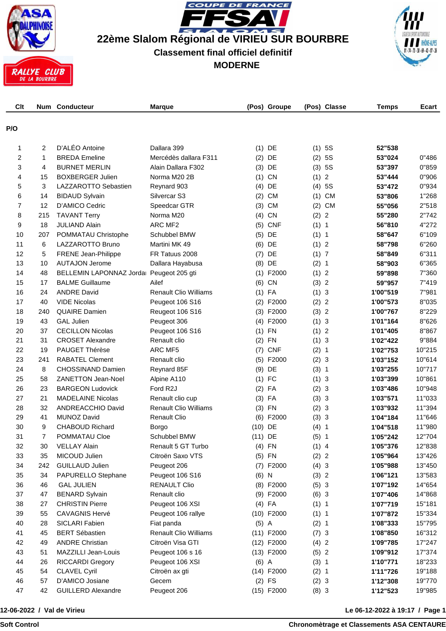

**COUPE DE FRANCE**  $\blacktriangle$  $\overline{\phantom{a}}$  $\overline{\phantom{a}}$ **22ème Slalom Régional de VIRIEU SUR BOURBRE Classement final officiel definitif MODERNE**



| Clt            |     | Num Conducteur            | <b>Marque</b>                |           | (Pos) Groupe |         | (Pos) Classe   | <b>Temps</b> | Ecart  |
|----------------|-----|---------------------------|------------------------------|-----------|--------------|---------|----------------|--------------|--------|
| P/O            |     |                           |                              |           |              |         |                |              |        |
|                |     |                           |                              |           |              |         |                |              |        |
| 1              | 2   | D'ALÉO Antoine            | Dallara 399                  |           | $(1)$ DE     | (1)     | 5S             | 52"538       |        |
| 2              | 1   | <b>BREDA Emeline</b>      | Mercédès dallara F311        |           | $(2)$ DE     | (2)     | 5S             | 53"024       | 0"486  |
| 3              | 4   | <b>BURNET MERLIN</b>      | Alain Dallara F302           |           | $(3)$ DE     | (3)     | 5S             | 53"397       | 0"859  |
| 4              | 15  | <b>BOXBERGER Julien</b>   | Norma M20 2B                 |           | $(1)$ CN     | (1)     | $\overline{c}$ | 53"444       | 0"906  |
| 5              | 3   | LAZZAROTTO Sebastien      | Reynard 903                  |           | $(4)$ DE     | (4)     | 5S             | 53"472       | 0"934  |
| 6              | 14  | <b>BIDAUD Sylvain</b>     | Silvercar S3                 |           | $(2)$ CM     |         | $(1)$ CM       | 53"806       | 1"268  |
| $\overline{7}$ | 12  | D'AMICO Cedric            | Speedcar GTR                 | (3)       | <b>CM</b>    | (2)     | <b>CM</b>      | 55"056       | 2"518  |
| 8              | 215 | <b>TAVANT Terry</b>       | Norma M20                    |           | $(4)$ CN     | (2) 2   |                | 55"280       | 2"742  |
| 9              | 18  | <b>JULIAND Alain</b>      | ARC MF <sub>2</sub>          |           | $(5)$ CNF    | (1) 1   |                | 56"810       | 4"272  |
| 10             | 207 | POMMATAU Christophe       | Schubbel BMW                 |           | $(5)$ DE     | (1) 1   |                | 58"647       | 6"109  |
| 11             | 6   | LAZZAROTTO Bruno          | Martini MK 49                |           | $(6)$ DE     | (1)     | $\overline{2}$ | 58"798       | 6"260  |
| 12             | 5   | FRENE Jean-Philippe       | FR Tatuus 2008               | (7)       | DE           | (1) 7   |                | 58"849       | 6"311  |
| 13             | 10  | <b>AUTAJON Jerome</b>     | Dallara Hayabusa             |           | $(8)$ DE     | (2) 1   |                | 58"903       | 6"365  |
| 14             | 48  | BELLEMIN LAPONNAZ Jorda   | Peugeot 205 gti              |           | $(1)$ F2000  | (1) 2   |                | 59"898       | 7"360  |
| 15             | 17  | <b>BALME Guillaume</b>    | Ailef                        |           | $(6)$ CN     | (3)     | $\overline{2}$ | 59"957       | 7"419  |
| 16             | 24  | <b>ANDRE David</b>        | <b>Renault Clio Williams</b> |           | $(1)$ FA     | (1) 3   |                | 1'00"519     | 7"981  |
| 17             | 40  | <b>VIDE Nicolas</b>       | Peugeot 106 S16              |           | $(2)$ F2000  | (2) 2   |                | 1'00"573     | 8"035  |
| 18             | 240 | <b>QUAIRE Damien</b>      | Reugeot 106 S16              |           | $(3)$ F2000  | (3)     | $\overline{2}$ | 1'00"767     | 8"229  |
| 19             | 43  | <b>GAL Julien</b>         | Peugeot 306                  |           | $(4)$ F2000  | (1) 3   |                | 1'01"164     | 8"626  |
| 20             | 37  | <b>CECILLON Nicolas</b>   | Peugeot 106 S16              |           | $(1)$ FN     | (1) 2   |                | 1'01"405     | 8"867  |
| 21             | 31  | <b>CROSET Alexandre</b>   | Renault clio                 |           | $(2)$ FN     | (1) 3   |                | 1'02"422     | 9"884  |
| 22             | 19  | PAUGET Thérèse            | ARC MF5                      |           | $(7)$ CNF    | (2) 1   |                | 1'02"753     | 10"215 |
| 23             | 241 | <b>RABATEL Clement</b>    | Renault clio                 |           | $(5)$ F2000  | (2) 3   |                | 1'03"152     | 10"614 |
| 24             | 8   | CHOSSINAND Damien         | Reynard 85F                  |           | $(9)$ DE     | (3) 1   |                | 1'03"255     | 10"717 |
| 25             | 58  | <b>ZANETTON Jean-Noel</b> | Alpine A110                  |           | $(1)$ FC     | (1) 3   |                | 1'03"399     | 10"861 |
| 26             | 23  | <b>BARGEON Ludovick</b>   | Ford R2J                     |           | $(2)$ FA     | (2) 3   |                | 1'03"486     | 10"948 |
| 27             | 21  | <b>MADELAINE Nicolas</b>  | Renault clio cup             |           | $(3)$ FA     | (3) 3   |                | 1'03"571     | 11"033 |
| 28             | 32  | ANDREACCHIO David         | <b>Renault Clio Williams</b> |           | $(3)$ FN     | (2) 3   |                | 1'03"932     | 11"394 |
| 29             | 41  | MUNOZ David               | <b>Renault Clio</b>          |           | $(6)$ F2000  | (3) 3   |                | 1'04"184     | 11"646 |
| 30             | 9   | <b>CHABOUD Richard</b>    | Borgo                        | $(10)$ DE |              | (4)     | 1              | 1'04"518     | 11"980 |
| 31             | 7   | POMMATAU Cloe             | Schubbel BMW                 | $(11)$ DE |              | (5) 1   |                | 1'05"242     | 12"704 |
| 32             | 30  | <b>VELLAY Alain</b>       | Renault 5 GT Turbo           |           | $(4)$ FN     | $(1)$ 4 |                | 1'05"376     | 12"838 |
| 33             | 35  | MICOUD Julien             | Citroën Saxo VTS             |           | $(5)$ FN     | (2) 2   |                | 1'05"964     | 13"426 |
| 34             | 242 | <b>GUILLAUD Julien</b>    | Peugeot 206                  |           | $(7)$ F2000  | (4) 3   |                | 1'05"988     | 13"450 |
| 35             | 34  | PAPURELLO Stephane        | Peugeot 106 S16              | $(6)$ N   |              | (3) 2   |                | 1'06"121     | 13"583 |
| 36             | 46  | <b>GAL JULIEN</b>         | <b>RENAULT Clio</b>          |           | $(8)$ F2000  | (5) 3   |                | 1'07"192     | 14"654 |
| 37             | 47  | <b>BENARD Sylvain</b>     | Renault clio                 |           | (9) F2000    | (6) 3   |                | 1'07"406     | 14"868 |
| 38             | 27  | <b>CHRISTIN Pierre</b>    | Peugeot 106 XSI              |           | $(4)$ FA     | (1) 1   |                | 1'07"719     | 15"181 |
| 39             | 55  | <b>CAVAGNIS Hervé</b>     | Peugeot 106 rallye           |           | $(10)$ F2000 | (1) 1   |                | 1'07"872     | 15"334 |
| 40             | 28  | SICLARI Fabien            | Fiat panda                   | $(5)$ A   |              | (2) 1   |                | 1'08"333     | 15"795 |
| 41             | 45  | <b>BERT Sébastien</b>     | <b>Renault Clio Williams</b> |           | $(11)$ F2000 | (7) 3   |                | 1'08"850     | 16"312 |
| 42             | 49  | <b>ANDRE Christian</b>    | Citroën Visa GTI             |           | $(12)$ F2000 | (4) 2   |                | 1'09"785     | 17"247 |
| 43             | 51  | MAZZILLI Jean-Louis       | Peugeot 106 s 16             |           | $(13)$ F2000 | (5) 2   |                | 1'09"912     | 17"374 |
| 44             | 26  | <b>RICCARDI Gregory</b>   | Peugeot 106 XSI              | $(6)$ A   |              | (3) 1   |                | 1'10"771     | 18"233 |
| 45             | 54  | <b>CLAVEL Cyril</b>       | Citroën ax gti               |           | $(14)$ F2000 | (2) 1   |                | 1'11"726     | 19"188 |
| 46             | 57  | D'AMICO Josiane           | Gecem                        |           | $(2)$ FS     | (2) 3   |                | 1'12"308     | 19"770 |
| 47             | 42  | <b>GUILLERD Alexandre</b> | Peugeot 206                  |           | $(15)$ F2000 | (8) 3   |                | 1'12"523     | 19"985 |

**12-06-2022 / Val de Virieu**

**Le 06-12-2022 à 19:17 / Page 1**